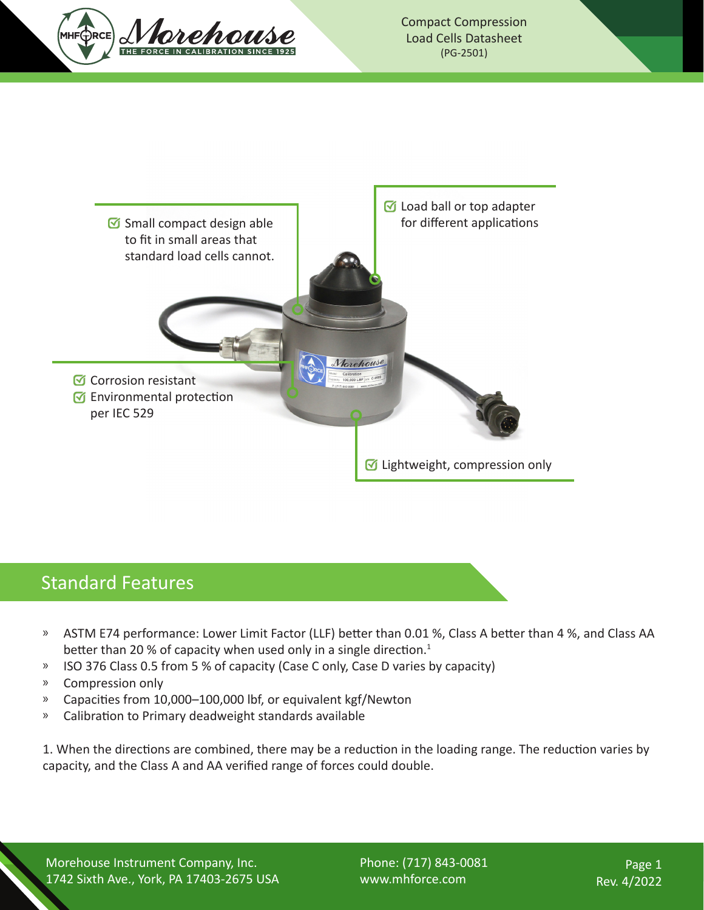



#### Standard Features

- » ASTM E74 performance: Lower Limit Factor (LLF) better than 0.01 %, Class A better than 4 %, and Class AA better than 20 % of capacity when used only in a single direction.<sup>1</sup>
- <sup>»</sup> ISO 376 Class 0.5 from 5 % of capacity (Case C only, Case D varies by capacity)
- » Compression only
- » Capacities from 10,000–100,000 lbf, or equivalent kgf/Newton
- » Calibration to Primary deadweight standards available

1. When the directions are combined, there may be a reduction in the loading range. The reduction varies by capacity, and the Class A and AA verified range of forces could double.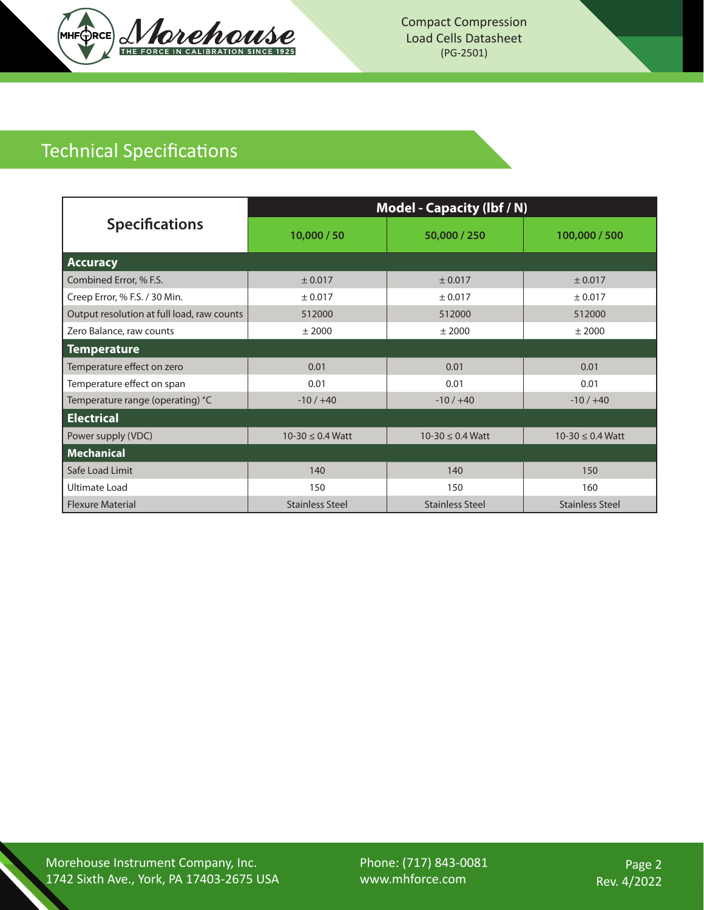

Compact Compression Load Cells Datasheet (PG-2501)

# Technical Specifications

|                                            | <b>Model - Capacity (Ibf / N)</b> |                        |                        |  |  |  |  |
|--------------------------------------------|-----------------------------------|------------------------|------------------------|--|--|--|--|
| <b>Specifications</b>                      | 10,000 / 50                       | 50,000 / 250           | 100,000 / 500          |  |  |  |  |
| Accuracy                                   |                                   |                        |                        |  |  |  |  |
| Combined Error, % F.S.                     | ± 0.017                           | ± 0.017                | ± 0.017                |  |  |  |  |
| Creep Error, % F.S. / 30 Min.              | ± 0.017                           | ± 0.017                | ± 0.017                |  |  |  |  |
| Output resolution at full load, raw counts | 512000                            | 512000                 | 512000                 |  |  |  |  |
| Zero Balance, raw counts                   | $±$ 2000                          | $±$ 2000               | $±$ 2000               |  |  |  |  |
| <b>Temperature</b>                         |                                   |                        |                        |  |  |  |  |
| Temperature effect on zero                 | 0.01                              | 0.01                   | 0.01                   |  |  |  |  |
| Temperature effect on span                 | 0.01                              | 0.01                   | 0.01                   |  |  |  |  |
| Temperature range (operating) °C           | $-10/ +40$                        | $-10/ +40$             | $-10/ +40$             |  |  |  |  |
| <b>Electrical</b>                          |                                   |                        |                        |  |  |  |  |
| Power supply (VDC)                         | $10-30 \le 0.4$ Watt              | $10-30 \le 0.4$ Watt   | $10-30 \le 0.4$ Watt   |  |  |  |  |
| <b>Mechanical</b>                          |                                   |                        |                        |  |  |  |  |
| Safe Load Limit                            | 140                               | 140                    | 150                    |  |  |  |  |
| Ultimate Load                              | 150                               | 150                    | 160                    |  |  |  |  |
| <b>Flexure Material</b>                    | <b>Stainless Steel</b>            | <b>Stainless Steel</b> | <b>Stainless Steel</b> |  |  |  |  |

Morehouse Instrument Company, Inc. 1742 Sixth Ave., York, PA 17403-2675 USA Phone: (717) 843-0081 www.mhforce.com

Page 2 Rev. 4/2022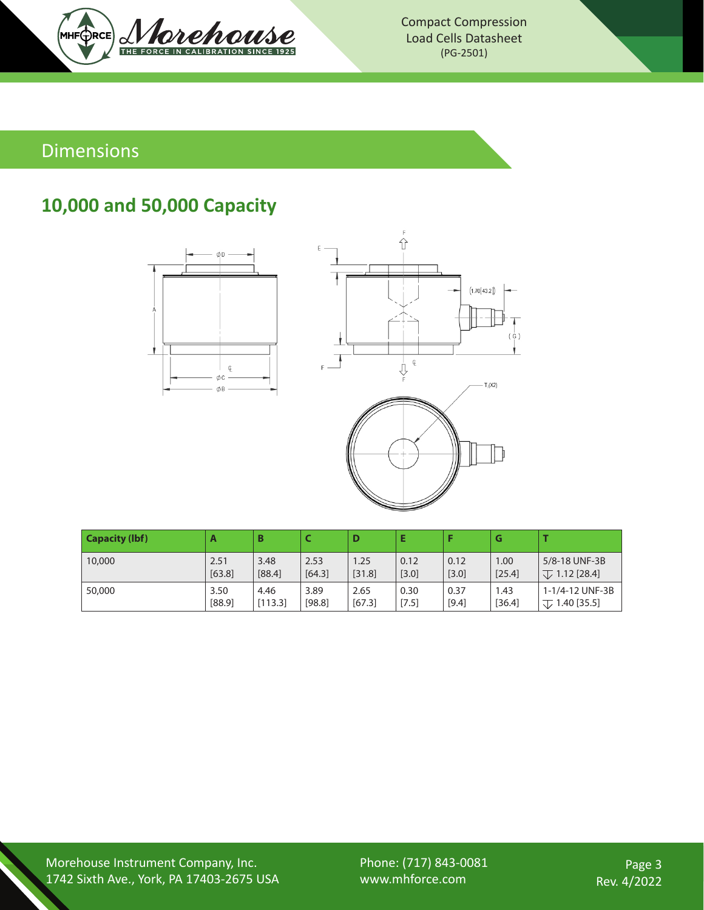

Compact Compression Load Cells Datasheet (PG-2501)

#### Dimensions

### **10,000 and 50,000 Capacity**





| <b>Capacity (lbf)</b> | A      | B       |        | D      | E     |       | G      |                        |
|-----------------------|--------|---------|--------|--------|-------|-------|--------|------------------------|
| 10,000                | 2.51   | 3.48    | 2.53   | 1.25   | 0.12  | 0.12  | 1.00   | 5/8-18 UNF-3B          |
|                       | [63.8] | [88.4]  | [64.3] | [31.8] | [3.0] | [3.0] | [25.4] | $\sqrt{ }$ 1.12 [28.4] |
| 50,000                | 3.50   | 4.46    | 3.89   | 2.65   | 0.30  | 0.37  | 1.43   | 1-1/4-12 UNF-3B        |
|                       | [88.9] | [113.3] | [98.8] | [67.3] | [7.5] | [9.4] | [36.4] | $\sqrt{ }$ 1.40 [35.5] |

Morehouse Instrument Company, Inc. 1742 Sixth Ave., York, PA 17403-2675 USA Phone: (717) 843-0081 www.mhforce.com

Page 3 Rev. 4/2022